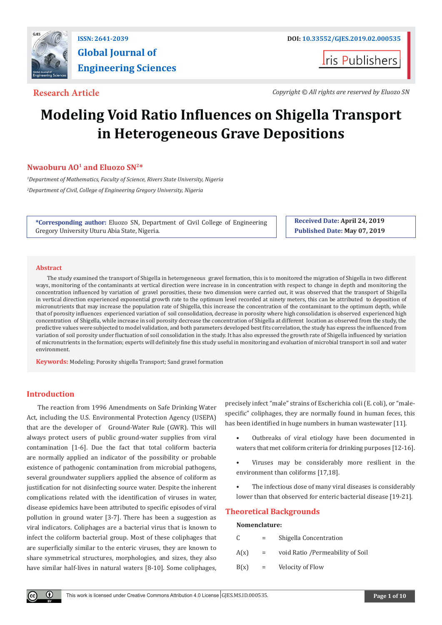

# **Global Journal of Engineering Sciences**

**Iris Publishers** 

**Research Article** *Copyright © All rights are reserved by Eluozo SN*

## **Modeling Void Ratio Influences on Shigella Transport in Heterogeneous Grave Depositions**

#### **Nwaoburu AO<sup>1</sup> and Eluozo SN2\***

*1 Department of Mathematics, Faculty of Science, Rivers State University, Nigeria 2 Department of Civil, College of Engineering Gregory University, Nigeria*

**\*Corresponding author:** Eluozo SN, Department of Civil College of Engineering Gregory University Uturu Abia State, Nigeria.

**Received Date: April 24, 2019 Published Date: May 07, 2019**

#### **Abstract**

The study examined the transport of Shigella in heterogeneous gravel formation, this is to monitored the migration of Shigella in two different ways, monitoring of the contaminants at vertical direction were increase in in concentration with respect to change in depth and monitoring the concentration influenced by variation of gravel porosities, these two dimension were carried out, it was observed that the transport of Shigella in vertical direction experienced exponential growth rate to the optimum level recorded at ninety meters, this can be attributed to deposition of micronutrients that may increase the population rate of Shigella, this increase the concentration of the contaminant to the optimum depth, while that of porosity influences experienced variation of soil consolidation, decrease in porosity where high consolidation is observed experienced high concentration of Shigella, while increase in soil porosity decrease the concentration of Shigella at different location as observed from the study, the predictive values were subjected to model validation, and both parameters developed best fits correlation, the study has express the influenced from variation of soil porosity under fluctuation of soil consolidation in the study. It has also expressed the growth rate of Shigella influenced by variation of micronutrients in the formation; experts will definitely fine this study useful in monitoring and evaluation of microbial transport in soil and water environment.

**Keywords:** Modeling; Porosity shigella Transport; Sand gravel formation

### **Introduction**

Œ

The reaction from 1996 Amendments on Safe Drinking Water Act, including the U.S. Environmental Protection Agency (USEPA) that are the developer of Ground-Water Rule (GWR). This will always protect users of public ground-water supplies from viral contamination [1-6]. Due the fact that total coliform bacteria are normally applied an indicator of the possibility or probable existence of pathogenic contamination from microbial pathogens, several groundwater suppliers applied the absence of coliform as justification for not disinfecting source water. Despite the inherent complications related with the identification of viruses in water, disease epidemics have been attributed to specific episodes of viral pollution in ground water [3-7]. There has been a suggestion as viral indicators. Coliphages are a bacterial virus that is known to infect the coliform bacterial group. Most of these coliphages that are superficially similar to the enteric viruses, they are known to share symmetrical structures, morphologies, and sizes, they also have similar half-lives in natural waters [8-10]. Some coliphages,

precisely infect "male" strains of Escherichia coli (E. coli), or "malespecific" coliphages, they are normally found in human feces, this has been identified in huge numbers in human wastewater [11].

- Outbreaks of viral etiology have been documented in waters that met coliform criteria for drinking purposes [12-16].
- Viruses may be considerably more resilient in the environment than coliforms [17,18].
- The infectious dose of many viral diseases is considerably lower than that observed for enteric bacterial disease [19-21].

#### **Theoretical Backgrounds**

#### **Nomenclature:**

| C    | $=$ | Shigella Concentration            |  |
|------|-----|-----------------------------------|--|
| A(x) | $=$ | void Ratio / Permeability of Soil |  |
| B(x) | $=$ | Velocity of Flow                  |  |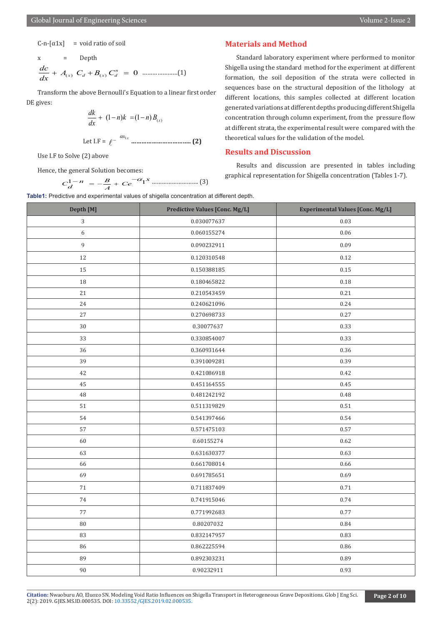$C-n-[\alpha 1x]$  = void ratio of soil

x = Depth () () 0 *<sup>n</sup> x d xd dc A C BC dx* ++= …………………(1)

Transform the above Bernoulli's Equation to a linear first order DE gives:

$$
\frac{dk}{dx} + (1-n)k = (1-n)B_{(x)}
$$
  
Let I.F =  $\ell^{-\alpha x_{1x}}$  ....... (2)

Use I.F to Solve (2) above

Hence, the general Solution becomes:

<sup>1</sup> <sup>1</sup> *<sup>B</sup> <sup>x</sup> <sup>C</sup> <sup>n</sup> Ce <sup>d</sup> <sup>A</sup>* <sup>−</sup> <sup>−</sup><sup>α</sup> =− + ………………………. (3)

#### **Materials and Method**

Standard laboratory experiment where performed to monitor Shigella using the standard method for the experiment at different formation, the soil deposition of the strata were collected in sequences base on the structural deposition of the lithology at different locations, this samples collected at different location generated variations at different depths producing different Shigella concentration through column experiment, from the pressure flow at different strata, the experimental result were compared with the theoretical values for the validation of the model.

#### **Results and Discussion**

Results and discussion are presented in tables including graphical representation for Shigella concentration (Tables 1-7).

**Table1:** Predictive and experimental values of shigella concentration at different depth.

| Depth [M]            | <b>Predictive Values [Conc. Mg/L]</b> | <b>Experimental Values [Conc. Mg/L]</b> |  |  |
|----------------------|---------------------------------------|-----------------------------------------|--|--|
| $\sqrt{3}$           | 0.030077637                           | 0.03                                    |  |  |
| $\boldsymbol{6}$     | 0.060155274                           | 0.06                                    |  |  |
| $\,9$                | 0.090232911                           | 0.09                                    |  |  |
| 12                   | 0.120310548                           | 0.12                                    |  |  |
| 15                   | 0.150388185                           | 0.15                                    |  |  |
| 18                   | 0.180465822                           | 0.18                                    |  |  |
| $21\,$               | 0.210543459                           | 0.21                                    |  |  |
| 24                   | 0.240621096                           | 0.24                                    |  |  |
| 27                   | 0.270698733                           | 0.27                                    |  |  |
| $30\,$               | 0.30077637                            | 0.33                                    |  |  |
| 33                   | 0.330854007                           | 0.33                                    |  |  |
| 36                   | 0.360931644                           | 0.36                                    |  |  |
| 39                   | 0.391009281                           | 0.39                                    |  |  |
| 42                   | 0.421086918                           | 0.42                                    |  |  |
| 45                   | 0.451164555                           | 0.45                                    |  |  |
| 48                   | 0.481242192                           | 0.48                                    |  |  |
| 51                   | 0.511319829                           | 0.51                                    |  |  |
| 54                   | 0.541397466                           | 0.54                                    |  |  |
| 57                   | 0.571475103                           | 0.57                                    |  |  |
| 60                   | 0.60155274                            |                                         |  |  |
| 63                   | 0.631630377                           | 0.63                                    |  |  |
| 66                   | 0.661708014                           | 0.66                                    |  |  |
| 69                   | 0.691785651                           | 0.69                                    |  |  |
| 71                   | 0.711837409                           | 0.71                                    |  |  |
| 74                   | 0.741915046                           | 0.74                                    |  |  |
| 77                   | 0.771992683                           | 0.77                                    |  |  |
| 80                   | 0.80207032                            | 0.84                                    |  |  |
| 83                   | 0.832147957                           | 0.83                                    |  |  |
| 86                   | 0.862225594                           | 0.86                                    |  |  |
| 89                   | 0.892303231                           | 0.89                                    |  |  |
| $90\,$<br>0.90232911 |                                       | 0.93                                    |  |  |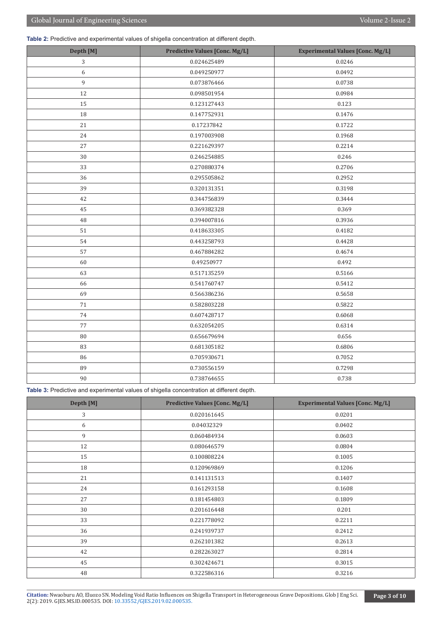**Table 2:** Predictive and experimental values of shigella concentration at different depth.

| Depth [M]        | <b>Predictive Values [Conc. Mg/L]</b> | <b>Experimental Values [Conc. Mg/L]</b> |  |  |
|------------------|---------------------------------------|-----------------------------------------|--|--|
| 3                | 0.024625489                           | 0.0246                                  |  |  |
| $\boldsymbol{6}$ | 0.049250977                           | 0.0492                                  |  |  |
| $\boldsymbol{9}$ | 0.073876466                           | 0.0738                                  |  |  |
| 12               | 0.098501954                           | 0.0984                                  |  |  |
| 15               | 0.123127443                           | 0.123                                   |  |  |
| 18               | 0.147752931                           | 0.1476                                  |  |  |
| 21               | 0.17237842                            | 0.1722                                  |  |  |
| 24               | 0.197003908                           | 0.1968                                  |  |  |
| 27               | 0.221629397                           | 0.2214                                  |  |  |
| $30\,$           | 0.246254885                           | 0.246                                   |  |  |
| 33               | 0.270880374                           | 0.2706                                  |  |  |
| 36               | 0.295505862                           | 0.2952                                  |  |  |
| 39               | 0.320131351                           | 0.3198                                  |  |  |
| 42               | 0.344756839                           | 0.3444                                  |  |  |
| 45               | 0.369382328                           | 0.369                                   |  |  |
| 48               | 0.394007816                           | 0.3936                                  |  |  |
| 51               | 0.418633305                           | 0.4182                                  |  |  |
| 54               | 0.443258793<br>0.4428                 |                                         |  |  |
| 57               | 0.467884282                           | 0.4674                                  |  |  |
| 60               | 0.49250977                            | 0.492                                   |  |  |
| 63               | 0.517135259                           | 0.5166                                  |  |  |
| 66               | 0.541760747<br>0.5412                 |                                         |  |  |
| 69               | 0.566386236<br>0.5658                 |                                         |  |  |
| 71               | 0.582803228                           | 0.5822                                  |  |  |
| 74               | 0.607428717                           | 0.6068                                  |  |  |
| 77               | 0.632054205                           | 0.6314                                  |  |  |
| $80\,$           | 0.656679694                           | 0.656                                   |  |  |
| 83               | 0.681305182                           | 0.6806                                  |  |  |
| 86               | 0.705930671                           | 0.7052                                  |  |  |
| 89               | 0.730556159                           | 0.7298                                  |  |  |
| 90               | 0.738764655                           | 0.738                                   |  |  |

**Table 3:** Predictive and experimental values of shigella concentration at different depth.

| Depth [M] | <b>Predictive Values [Conc. Mg/L]</b> | <b>Experimental Values [Conc. Mg/L]</b> |  |  |
|-----------|---------------------------------------|-----------------------------------------|--|--|
| 3         | 0.020161645<br>0.0201                 |                                         |  |  |
| 6         | 0.04032329                            | 0.0402                                  |  |  |
| 9         | 0.060484934                           | 0.0603                                  |  |  |
| 12        | 0.080646579                           | 0.0804                                  |  |  |
| 15        | 0.100808224                           | 0.1005                                  |  |  |
| 18        | 0.120969869                           | 0.1206                                  |  |  |
| 21        | 0.141131513                           | 0.1407                                  |  |  |
| 24        | 0.161293158                           | 0.1608                                  |  |  |
| 27        | 0.181454803                           | 0.1809                                  |  |  |
| 30        | 0.201616448<br>0.201                  |                                         |  |  |
| 33        | 0.221778092<br>0.2211                 |                                         |  |  |
| 36        | 0.241939737                           | 0.2412                                  |  |  |
| 39        | 0.262101382                           | 0.2613                                  |  |  |
| 42        | 0.282263027                           | 0.2814                                  |  |  |
| 45        | 0.3015<br>0.302424671                 |                                         |  |  |
| 48        | 0.322586316<br>0.3216                 |                                         |  |  |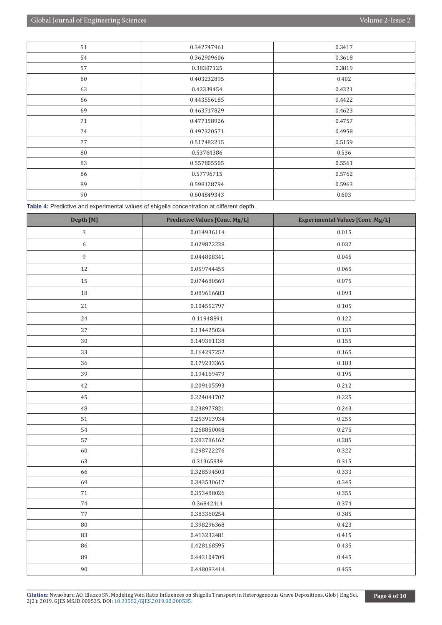| 51                | 0.342747961 | 0.3417 |  |  |
|-------------------|-------------|--------|--|--|
| 54                | 0.362909606 | 0.3618 |  |  |
| 57                | 0.38307125  | 0.3819 |  |  |
| 60                | 0.403232895 | 0.402  |  |  |
| 63                | 0.42339454  | 0.4221 |  |  |
| 66                | 0.443556185 | 0.4422 |  |  |
| 69<br>0.463717829 |             | 0.4623 |  |  |
| 71                | 0.477158926 | 0.4757 |  |  |
| 74                | 0.497320571 | 0.4958 |  |  |
| 77<br>0.517482215 |             | 0.5159 |  |  |
| 80                | 0.53764386  | 0.536  |  |  |
| 83<br>0.557805505 |             | 0.5561 |  |  |
| 86                | 0.57796715  | 0.5762 |  |  |
| 89                | 0.598128794 | 0.5963 |  |  |
| 90<br>0.604849343 |             | 0.603  |  |  |

**Table 4:** Predictive and experimental values of shigella concentration at different depth.

| Depth [M]             | <b>Predictive Values [Conc. Mg/L]</b> | <b>Experimental Values [Conc. Mg/L]</b> |  |  |
|-----------------------|---------------------------------------|-----------------------------------------|--|--|
| 3                     | 0.014936114                           | 0.015                                   |  |  |
| $\boldsymbol{6}$      | 0.029872228                           | 0.032                                   |  |  |
| 9                     | 0.044808341                           | 0.045                                   |  |  |
| 12                    | 0.059744455                           | 0.065                                   |  |  |
| 15                    | 0.074680569                           | 0.075                                   |  |  |
| $18\,$                | 0.089616683                           | 0.093                                   |  |  |
| 21                    | 0.104552797                           | 0.105                                   |  |  |
| 24                    | 0.11948891                            | 0.122                                   |  |  |
| 27                    | 0.134425024                           | 0.135                                   |  |  |
| 30                    | 0.149361138                           | 0.155                                   |  |  |
| 33                    | 0.164297252                           | 0.165                                   |  |  |
| 36                    | 0.179233365                           | 0.183                                   |  |  |
| 39                    | 0.194169479                           | 0.195                                   |  |  |
| 42                    | 0.209105593                           | 0.212                                   |  |  |
| 45                    | 0.224041707                           | 0.225                                   |  |  |
| 48                    | 0.238977821                           | 0.243                                   |  |  |
| 51                    | 0.253913934                           | 0.255                                   |  |  |
| 54                    | 0.268850048                           | 0.275                                   |  |  |
| 57                    | 0.283786162                           | 0.285                                   |  |  |
| 60                    | 0.298722276                           | 0.322                                   |  |  |
| 63                    | 0.31365839                            | 0.315                                   |  |  |
| 66                    | 0.328594503                           | 0.333                                   |  |  |
| 69                    | 0.343530617                           | 0.345                                   |  |  |
| 71                    | 0.353488026                           | 0.355                                   |  |  |
| 74                    | 0.36842414                            | 0.374                                   |  |  |
| 77                    | 0.383360254                           | 0.385                                   |  |  |
| $\rm 80$              | 0.398296368                           | 0.423                                   |  |  |
| 83                    | 0.413232481                           | 0.415                                   |  |  |
| 86                    | 0.428168595                           | 0.435                                   |  |  |
| 89                    | 0.443104709<br>0.445                  |                                         |  |  |
| $90\,$<br>0.448083414 |                                       | 0.455                                   |  |  |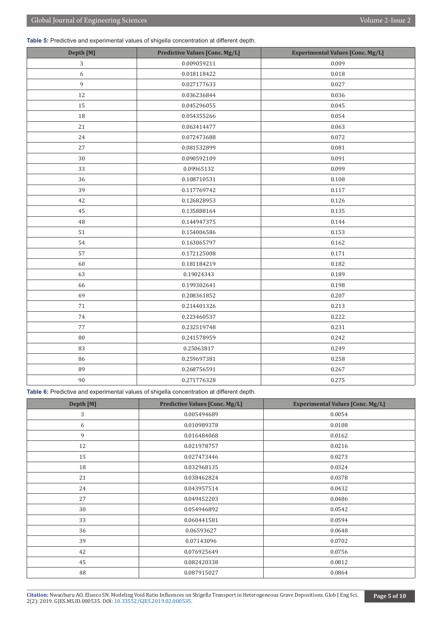**Table 5:** Predictive and experimental values of shigella concentration at different depth.

| Depth [M] | <b>Predictive Values [Conc. Mg/L]</b> | <b>Experimental Values [Conc. Mg/L]</b> |  |  |
|-----------|---------------------------------------|-----------------------------------------|--|--|
| 3         | 0.009<br>0.009059211                  |                                         |  |  |
| 6         | 0.018118422                           | 0.018                                   |  |  |
| 9         | 0.027177633                           | 0.027                                   |  |  |
| 12        | 0.036236844                           | 0.036                                   |  |  |
| 15        | 0.045296055                           | 0.045                                   |  |  |
| 18        | 0.054355266                           | 0.054                                   |  |  |
| 21        | 0.063414477                           | 0.063                                   |  |  |
| 24        | 0.072473688                           | 0.072                                   |  |  |
| 27        | 0.081532899                           | 0.081                                   |  |  |
| 30        | 0.090592109                           | 0.091                                   |  |  |
| 33        | 0.09965132                            | 0.099                                   |  |  |
| 36        | 0.108710531                           | 0.108                                   |  |  |
| 39        | 0.117769742                           | 0.117                                   |  |  |
| 42        | 0.126828953                           | 0.126                                   |  |  |
| 45        | 0.135888164                           | 0.135                                   |  |  |
| 48        | 0.144947375                           | 0.144                                   |  |  |
| $51\,$    | 0.154006586                           | 0.153                                   |  |  |
| 54        | 0.163065797                           | 0.162                                   |  |  |
| 57        | 0.172125008                           | 0.171                                   |  |  |
| 60        | 0.181184219                           | 0.182                                   |  |  |
| 63        | 0.19024343                            | 0.189                                   |  |  |
| 66        | 0.199302641                           | 0.198                                   |  |  |
| 69        | 0.208361852                           | 0.207                                   |  |  |
| 71        | 0.214401326<br>0.213                  |                                         |  |  |
| 74        | 0.223460537                           | 0.222                                   |  |  |
| $77\,$    | 0.232519748<br>0.231                  |                                         |  |  |
| $80\,$    | 0.241578959<br>0.242                  |                                         |  |  |
| 83        | 0.25063817                            | 0.249                                   |  |  |
| 86        | 0.259697381                           | 0.258                                   |  |  |
| 89        | 0.268756591                           | 0.267                                   |  |  |
| 90        | 0.271776328                           | 0.275                                   |  |  |

**Table 6:** Predictive and experimental values of shigella concentration at different depth.

| Depth [M] | <b>Predictive Values [Conc. Mg/L]</b> | <b>Experimental Values [Conc. Mg/L]</b> |  |  |
|-----------|---------------------------------------|-----------------------------------------|--|--|
| 3         | 0.005494689                           | 0.0054                                  |  |  |
| 6         | 0.010989378                           | 0.0108                                  |  |  |
| 9         | 0.016484068                           | 0.0162                                  |  |  |
| 12        | 0.021978757                           | 0.0216                                  |  |  |
| 15        | 0.027473446                           | 0.0273                                  |  |  |
| 18        | 0.032968135                           | 0.0324                                  |  |  |
| 21        | 0.038462824                           | 0.0378                                  |  |  |
| 24        | 0.043957514                           | 0.0432                                  |  |  |
| 27        | 0.049452203                           | 0.0486                                  |  |  |
| 30        | 0.054946892                           | 0.0542                                  |  |  |
| 33        | 0.0594<br>0.060441581                 |                                         |  |  |
| 36        | 0.06593627                            | 0.0648                                  |  |  |
| 39        | 0.07143096                            | 0.0702                                  |  |  |
| 42        | 0.076925649                           | 0.0756                                  |  |  |
| 45        | 0.082420338                           | 0.0812                                  |  |  |
| 48        | 0.087915027                           | 0.0864                                  |  |  |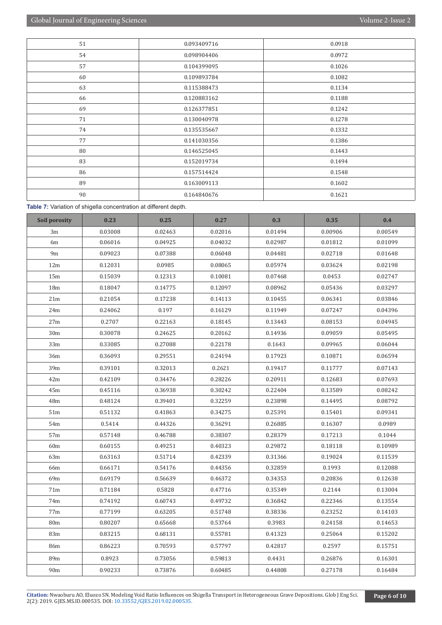| 51                | 0.093409716 | 0.0918 |  |  |
|-------------------|-------------|--------|--|--|
| 54                | 0.098904406 | 0.0972 |  |  |
| 57                | 0.104399095 | 0.1026 |  |  |
| 60                | 0.109893784 | 0.1082 |  |  |
| 63                | 0.115388473 | 0.1134 |  |  |
| 66                | 0.120883162 | 0.1188 |  |  |
| 69                | 0.126377851 | 0.1242 |  |  |
| 71<br>0.130040978 |             | 0.1278 |  |  |
| 74<br>0.135535667 |             | 0.1332 |  |  |
| 77<br>0.141030356 |             | 0.1386 |  |  |
| 80<br>0.146525045 |             | 0.1443 |  |  |
| 83                | 0.152019734 | 0.1494 |  |  |
| 86                | 0.157514424 | 0.1548 |  |  |
| 89                | 0.163009113 | 0.1602 |  |  |
| 90                | 0.164840676 | 0.1621 |  |  |

**Table 7:** Variation of shigella concentration at different depth.

| Soil porosity   | 0.23    | 0.25    | 0.27    | 0.3     | 0.35    | 0.4     |
|-----------------|---------|---------|---------|---------|---------|---------|
| 3m              | 0.03008 | 0.02463 | 0.02016 | 0.01494 | 0.00906 | 0.00549 |
| 6m              | 0.06016 | 0.04925 | 0.04032 | 0.02987 | 0.01812 | 0.01099 |
| 9 <sub>m</sub>  | 0.09023 | 0.07388 | 0.06048 | 0.04481 | 0.02718 | 0.01648 |
| 12m             | 0.12031 | 0.0985  | 0.08065 | 0.05974 | 0.03624 | 0.02198 |
| 15m             | 0.15039 | 0.12313 | 0.10081 | 0.07468 | 0.0453  | 0.02747 |
| 18 <sub>m</sub> | 0.18047 | 0.14775 | 0.12097 | 0.08962 | 0.05436 | 0.03297 |
| 21 <sub>m</sub> | 0.21054 | 0.17238 | 0.14113 | 0.10455 | 0.06341 | 0.03846 |
| 24m             | 0.24062 | 0.197   | 0.16129 | 0.11949 | 0.07247 | 0.04396 |
| 27m             | 0.2707  | 0.22163 | 0.18145 | 0.13443 | 0.08153 | 0.04945 |
| 30 <sub>m</sub> | 0.30078 | 0.24625 | 0.20162 | 0.14936 | 0.09059 | 0.05495 |
| 33 <sub>m</sub> | 0.33085 | 0.27088 | 0.22178 | 0.1643  | 0.09965 | 0.06044 |
| 36m             | 0.36093 | 0.29551 | 0.24194 | 0.17923 | 0.10871 | 0.06594 |
| 39m             | 0.39101 | 0.32013 | 0.2621  | 0.19417 | 0.11777 | 0.07143 |
| 42m             | 0.42109 | 0.34476 | 0.28226 | 0.20911 | 0.12683 | 0.07693 |
| 45m             | 0.45116 | 0.36938 | 0.30242 | 0.22404 | 0.13589 | 0.08242 |
| 48m             | 0.48124 | 0.39401 | 0.32259 | 0.23898 | 0.14495 | 0.08792 |
| 51 <sub>m</sub> | 0.51132 | 0.41863 | 0.34275 | 0.25391 | 0.15401 | 0.09341 |
| 54m             | 0.5414  | 0.44326 | 0.36291 | 0.26885 | 0.16307 | 0.0989  |
| 57m             | 0.57148 | 0.46788 | 0.38307 | 0.28379 | 0.17213 | 0.1044  |
| 60 <sub>m</sub> | 0.60155 | 0.49251 | 0.40323 | 0.29872 | 0.18118 | 0.10989 |
| 63m             | 0.63163 | 0.51714 | 0.42339 | 0.31366 | 0.19024 | 0.11539 |
| 66m             | 0.66171 | 0.54176 | 0.44356 | 0.32859 | 0.1993  | 0.12088 |
| 69m             | 0.69179 | 0.56639 | 0.46372 | 0.34353 | 0.20836 | 0.12638 |
| 71m             | 0.71184 | 0.5828  | 0.47716 | 0.35349 | 0.2144  | 0.13004 |
| 74m             | 0.74192 | 0.60743 | 0.49732 | 0.36842 | 0.22346 | 0.13554 |
| 77m             | 0.77199 | 0.63205 | 0.51748 | 0.38336 | 0.23252 | 0.14103 |
| 80m             | 0.80207 | 0.65668 | 0.53764 | 0.3983  | 0.24158 | 0.14653 |
| 83m             | 0.83215 | 0.68131 | 0.55781 | 0.41323 | 0.25064 | 0.15202 |
| 86m             | 0.86223 | 0.70593 | 0.57797 | 0.42817 | 0.2597  | 0.15751 |
| 89m             | 0.8923  | 0.73056 | 0.59813 | 0.4431  | 0.26876 | 0.16301 |
| 90 <sub>m</sub> | 0.90233 | 0.73876 | 0.60485 | 0.44808 | 0.27178 | 0.16484 |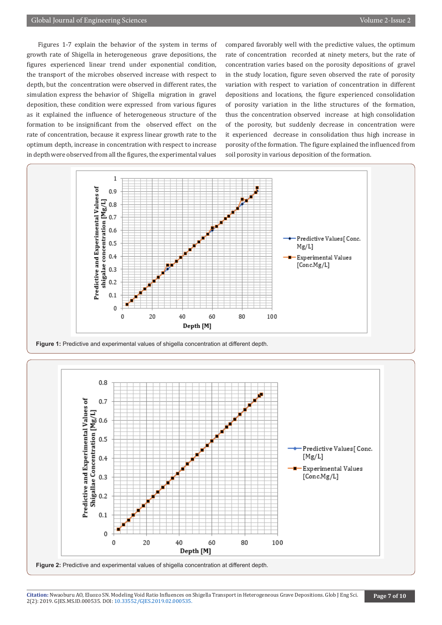Figures 1-7 explain the behavior of the system in terms of growth rate of Shigella in heterogeneous grave depositions, the figures experienced linear trend under exponential condition, the transport of the microbes observed increase with respect to depth, but the concentration were observed in different rates, the simulation express the behavior of Shigella migration in gravel deposition, these condition were expressed from various figures as it explained the influence of heterogeneous structure of the formation to be insignificant from the observed effect on the rate of concentration, because it express linear growth rate to the optimum depth, increase in concentration with respect to increase in depth were observed from all the figures, the experimental values compared favorably well with the predictive values, the optimum rate of concentration recorded at ninety meters, but the rate of concentration varies based on the porosity depositions of gravel in the study location, figure seven observed the rate of porosity variation with respect to variation of concentration in different depositions and locations, the figure experienced consolidation of porosity variation in the lithe structures of the formation, thus the concentration observed increase at high consolidation of the porosity, but suddenly decrease in concentration were it experienced decrease in consolidation thus high increase in porosity of the formation. The figure explained the influenced from soil porosity in various deposition of the formation.



Figure 1: Predictive and experimental values of shigella concentration at different depth.



**Citation**: Nwaoburu AO, Eluozo SN. [Modeling Void Ratio Influences on](http://dx.doi.org/10.33552/GJES.2019.02.000535) Shigella Transport in Heterogeneous Grave Depositions. Glob J Eng Sci.<br>2(2): 2019. GJES.MS.ID.000535. DOI: 10.33552/GJES.2019.02.000535.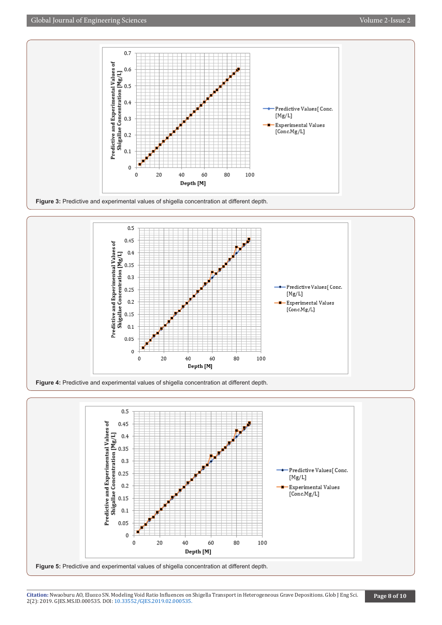





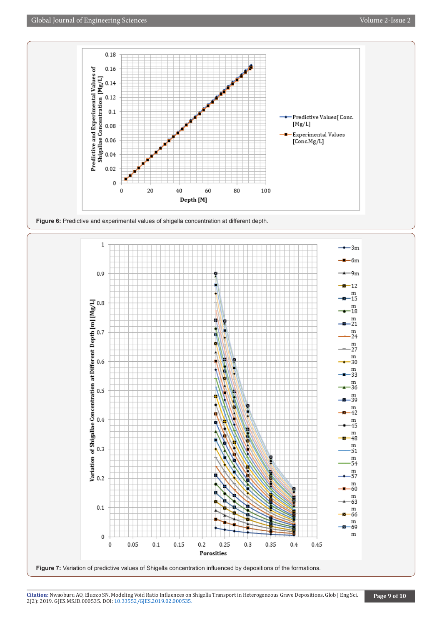





**Citation**: Nwaoburu AO, Eluozo SN. [Modeling Void Ratio Influences on](http://dx.doi.org/10.33552/GJES.2019.02.000535) Shigella Transport in Heterogeneous Grave Depositions. Glob J Eng Sci.<br>2(2): 2019. GJES.MS.ID.000535. DOI: 10.33552/GJES.2019.02.000535.